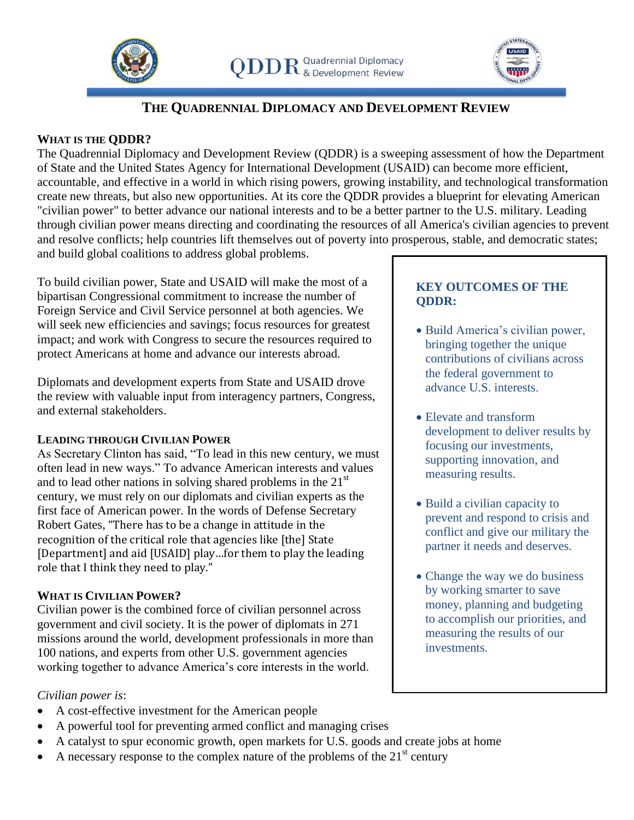



# **THE QUADRENNIAL DIPLOMACY AND DEVELOPMENT REVIEW**

### **WHAT IS THE QDDR?**

The Quadrennial Diplomacy and Development Review (QDDR) is a sweeping assessment of how the Department of State and the United States Agency for International Development (USAID) can become more efficient, accountable, and effective in a world in which rising powers, growing instability, and technological transformation create new threats, but also new opportunities. At its core the QDDR provides a blueprint for elevating American "civilian power" to better advance our national interests and to be a better partner to the U.S. military. Leading through civilian power means directing and coordinating the resources of all America's civilian agencies to prevent and resolve conflicts; help countries lift themselves out of poverty into prosperous, stable, and democratic states; and build global coalitions to address global problems.

To build civilian power, State and USAID will make the most of a bipartisan Congressional commitment to increase the number of Foreign Service and Civil Service personnel at both agencies. We will seek new efficiencies and savings; focus resources for greatest impact; and work with Congress to secure the resources required to protect Americans at home and advance our interests abroad.

Diplomats and development experts from State and USAID drove the review with valuable input from interagency partners, Congress, and external stakeholders.

#### **LEADING THROUGH CIVILIAN POWER**

As Secretary Clinton has said, "To lead in this new century, we must often lead in new ways." To advance American interests and values and to lead other nations in solving shared problems in the  $21<sup>st</sup>$ century, we must rely on our diplomats and civilian experts as the first face of American power. In the words of Defense Secretary Robert Gates, "There has to be a change in attitude in the recognition of the critical role that agencies like [the] State [Department] and aid [USAID] play...for them to play the leading role that I think they need to play."

#### **WHAT IS CIVILIAN POWER?**

Civilian power is the combined force of civilian personnel across government and civil society. It is the power of diplomats in 271 missions around the world, development professionals in more than 100 nations, and experts from other U.S. government agencies working together to advance America's core interests in the world.

#### *Civilian power is*:

- A cost-effective investment for the American people
- A powerful tool for preventing armed conflict and managing crises
- A catalyst to spur economic growth, open markets for U.S. goods and create jobs at home
- A necessary response to the complex nature of the problems of the  $21<sup>st</sup>$  century

## **KEY OUTCOMES OF THE QDDR:**

- Build America's civilian power, bringing together the unique contributions of civilians across the federal government to advance U.S. interests.
- Elevate and transform development to deliver results by focusing our investments, supporting innovation, and measuring results.
- Build a civilian capacity to prevent and respond to crisis and conflict and give our military the partner it needs and deserves.
- Change the way we do business by working smarter to save money, planning and budgeting to accomplish our priorities, and measuring the results of our investments.